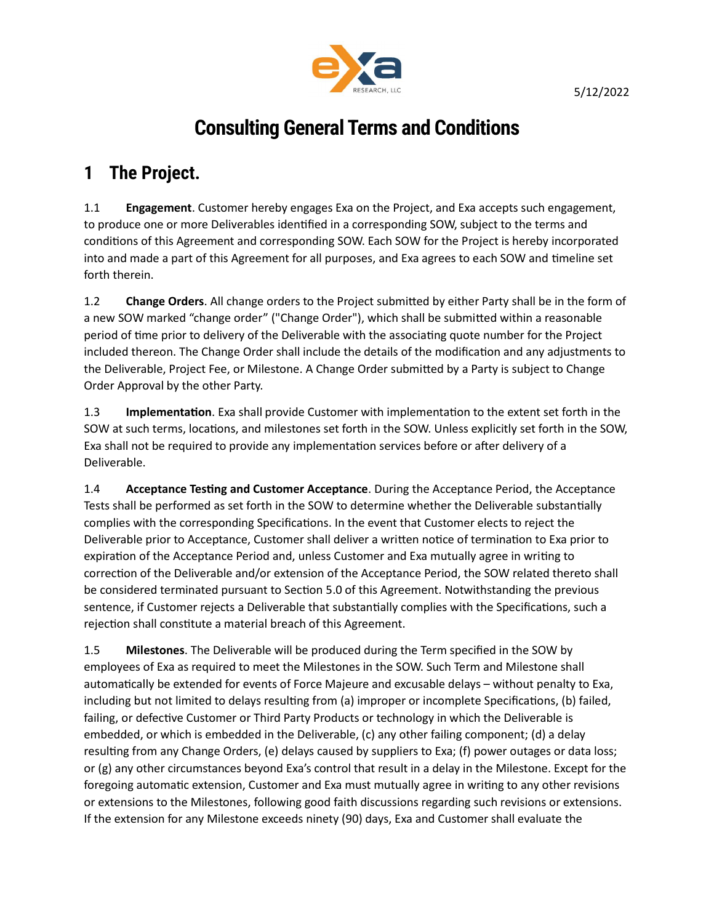

# Consulting General Terms and Conditions

#### 1 The Project.

1.1 **Engagement**. Customer hereby engages Exa on the Project, and Exa accepts such engagement, to produce one or more Deliverables identified in a corresponding SOW, subject to the terms and conditions of this Agreement and corresponding SOW. Each SOW for the Project is hereby incorporated into and made a part of this Agreement for all purposes, and Exa agrees to each SOW and timeline set forth therein.

1.2 Change Orders. All change orders to the Project submitted by either Party shall be in the form of a new SOW marked "change order" ("Change Order"), which shall be submitted within a reasonable period of time prior to delivery of the Deliverable with the associating quote number for the Project included thereon. The Change Order shall include the details of the modification and any adjustments to the Deliverable, Project Fee, or Milestone. A Change Order submitted by a Party is subject to Change Order Approval by the other Party.

1.3 Implementation. Exa shall provide Customer with implementation to the extent set forth in the SOW at such terms, locations, and milestones set forth in the SOW. Unless explicitly set forth in the SOW, Exa shall not be required to provide any implementation services before or after delivery of a Deliverable.

1.4 **Acceptance Testing and Customer Acceptance**. During the Acceptance Period, the Acceptance Tests shall be performed as set forth in the SOW to determine whether the Deliverable substantially complies with the corresponding Specifications. In the event that Customer elects to reject the Deliverable prior to Acceptance, Customer shall deliver a written notice of termination to Exa prior to expiration of the Acceptance Period and, unless Customer and Exa mutually agree in writing to correction of the Deliverable and/or extension of the Acceptance Period, the SOW related thereto shall be considered terminated pursuant to Section 5.0 of this Agreement. Notwithstanding the previous sentence, if Customer rejects a Deliverable that substantially complies with the Specifications, such a rejection shall constitute a material breach of this Agreement.

1.5 Milestones. The Deliverable will be produced during the Term specified in the SOW by employees of Exa as required to meet the Milestones in the SOW. Such Term and Milestone shall automatically be extended for events of Force Majeure and excusable delays – without penalty to Exa, including but not limited to delays resulting from (a) improper or incomplete Specifications, (b) failed, failing, or defective Customer or Third Party Products or technology in which the Deliverable is embedded, or which is embedded in the Deliverable, (c) any other failing component; (d) a delay resulting from any Change Orders, (e) delays caused by suppliers to Exa; (f) power outages or data loss; or (g) any other circumstances beyond Exa's control that result in a delay in the Milestone. Except for the foregoing automatic extension, Customer and Exa must mutually agree in writing to any other revisions or extensions to the Milestones, following good faith discussions regarding such revisions or extensions. If the extension for any Milestone exceeds ninety (90) days, Exa and Customer shall evaluate the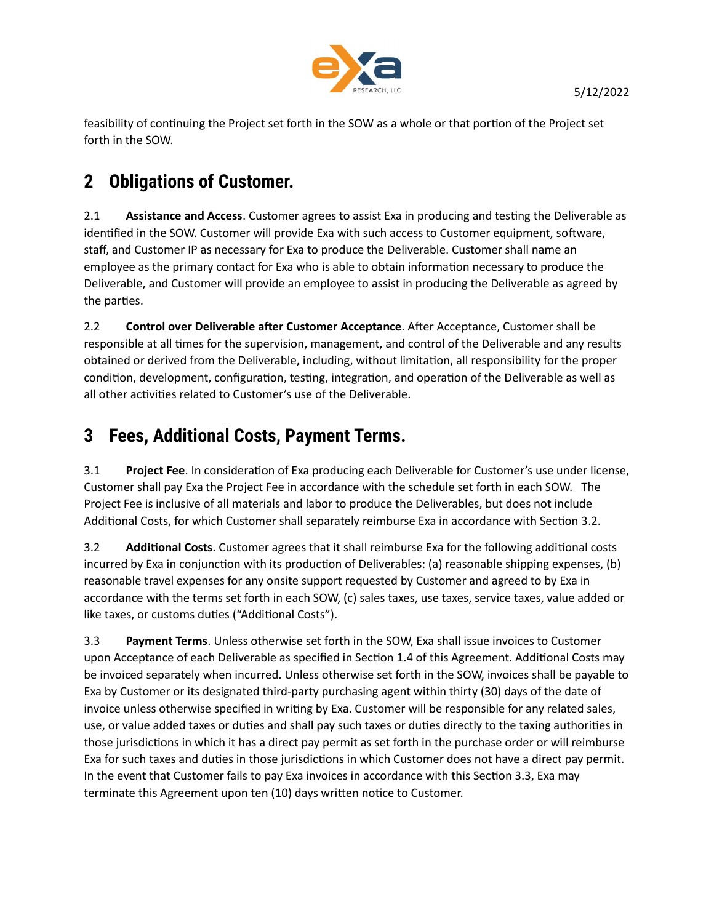

feasibility of continuing the Project set forth in the SOW as a whole or that portion of the Project set forth in the SOW.

# 2 Obligations of Customer.

2.1 Assistance and Access. Customer agrees to assist Exa in producing and testing the Deliverable as identified in the SOW. Customer will provide Exa with such access to Customer equipment, software, staff, and Customer IP as necessary for Exa to produce the Deliverable. Customer shall name an employee as the primary contact for Exa who is able to obtain information necessary to produce the Deliverable, and Customer will provide an employee to assist in producing the Deliverable as agreed by the parties.

2.2 Control over Deliverable after Customer Acceptance. After Acceptance, Customer shall be responsible at all times for the supervision, management, and control of the Deliverable and any results obtained or derived from the Deliverable, including, without limitation, all responsibility for the proper condition, development, configuration, testing, integration, and operation of the Deliverable as well as all other activities related to Customer's use of the Deliverable.

### 3 Fees, Additional Costs, Payment Terms.

3.1 Project Fee. In consideration of Exa producing each Deliverable for Customer's use under license, Customer shall pay Exa the Project Fee in accordance with the schedule set forth in each SOW. The Project Fee is inclusive of all materials and labor to produce the Deliverables, but does not include Additional Costs, for which Customer shall separately reimburse Exa in accordance with Section 3.2.

3.2 **Additional Costs.** Customer agrees that it shall reimburse Exa for the following additional costs incurred by Exa in conjunction with its production of Deliverables: (a) reasonable shipping expenses, (b) reasonable travel expenses for any onsite support requested by Customer and agreed to by Exa in accordance with the terms set forth in each SOW, (c) sales taxes, use taxes, service taxes, value added or like taxes, or customs duties ("Additional Costs").

3.3 Payment Terms. Unless otherwise set forth in the SOW, Exa shall issue invoices to Customer upon Acceptance of each Deliverable as specified in Section 1.4 of this Agreement. Additional Costs may be invoiced separately when incurred. Unless otherwise set forth in the SOW, invoices shall be payable to Exa by Customer or its designated third-party purchasing agent within thirty (30) days of the date of invoice unless otherwise specified in writing by Exa. Customer will be responsible for any related sales, use, or value added taxes or duties and shall pay such taxes or duties directly to the taxing authorities in those jurisdictions in which it has a direct pay permit as set forth in the purchase order or will reimburse Exa for such taxes and duties in those jurisdictions in which Customer does not have a direct pay permit. In the event that Customer fails to pay Exa invoices in accordance with this Section 3.3, Exa may terminate this Agreement upon ten (10) days written notice to Customer.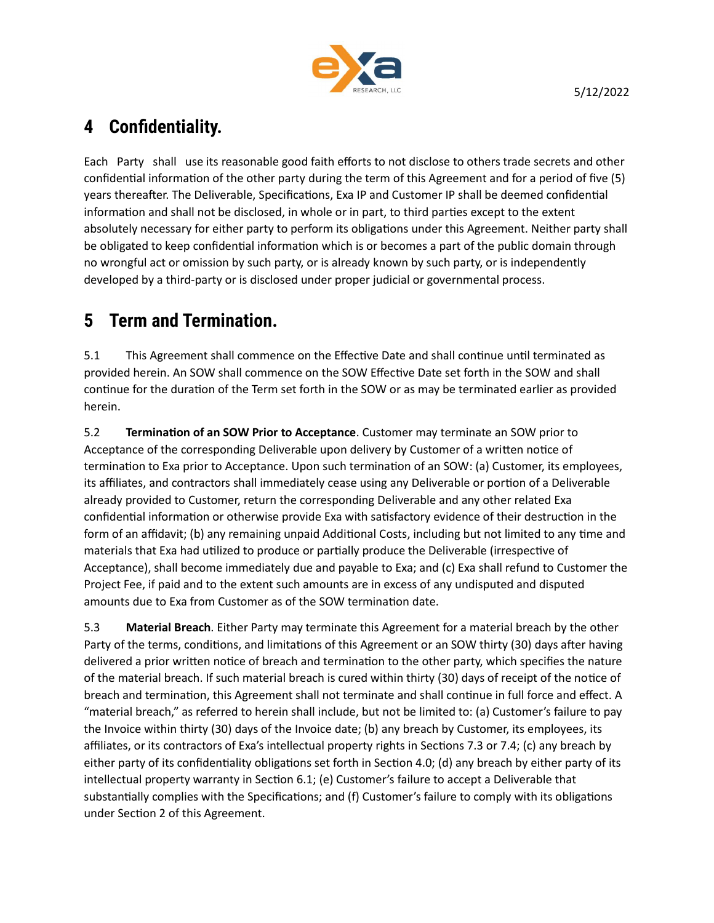

#### 4 Confidentiality.

Each Party shall use its reasonable good faith efforts to not disclose to others trade secrets and other confidential information of the other party during the term of this Agreement and for a period of five (5) years thereafter. The Deliverable, Specifications, Exa IP and Customer IP shall be deemed confidential information and shall not be disclosed, in whole or in part, to third parties except to the extent absolutely necessary for either party to perform its obligations under this Agreement. Neither party shall be obligated to keep confidential information which is or becomes a part of the public domain through no wrongful act or omission by such party, or is already known by such party, or is independently developed by a third-party or is disclosed under proper judicial or governmental process.

# 5 Term and Termination.

5.1 This Agreement shall commence on the Effective Date and shall continue until terminated as provided herein. An SOW shall commence on the SOW Effective Date set forth in the SOW and shall continue for the duration of the Term set forth in the SOW or as may be terminated earlier as provided herein.

5.2 **Termination of an SOW Prior to Acceptance**. Customer may terminate an SOW prior to Acceptance of the corresponding Deliverable upon delivery by Customer of a written notice of termination to Exa prior to Acceptance. Upon such termination of an SOW: (a) Customer, its employees, its affiliates, and contractors shall immediately cease using any Deliverable or portion of a Deliverable already provided to Customer, return the corresponding Deliverable and any other related Exa confidential information or otherwise provide Exa with satisfactory evidence of their destruction in the form of an affidavit; (b) any remaining unpaid Additional Costs, including but not limited to any time and materials that Exa had utilized to produce or partially produce the Deliverable (irrespective of Acceptance), shall become immediately due and payable to Exa; and (c) Exa shall refund to Customer the Project Fee, if paid and to the extent such amounts are in excess of any undisputed and disputed amounts due to Exa from Customer as of the SOW termination date.

5.3 Material Breach. Either Party may terminate this Agreement for a material breach by the other Party of the terms, conditions, and limitations of this Agreement or an SOW thirty (30) days after having delivered a prior written notice of breach and termination to the other party, which specifies the nature of the material breach. If such material breach is cured within thirty (30) days of receipt of the notice of breach and termination, this Agreement shall not terminate and shall continue in full force and effect. A "material breach," as referred to herein shall include, but not be limited to: (a) Customer's failure to pay the Invoice within thirty (30) days of the Invoice date; (b) any breach by Customer, its employees, its affiliates, or its contractors of Exa's intellectual property rights in Sections 7.3 or 7.4; (c) any breach by either party of its confidentiality obligations set forth in Section 4.0; (d) any breach by either party of its intellectual property warranty in Section 6.1; (e) Customer's failure to accept a Deliverable that substantially complies with the Specifications; and (f) Customer's failure to comply with its obligations under Section 2 of this Agreement.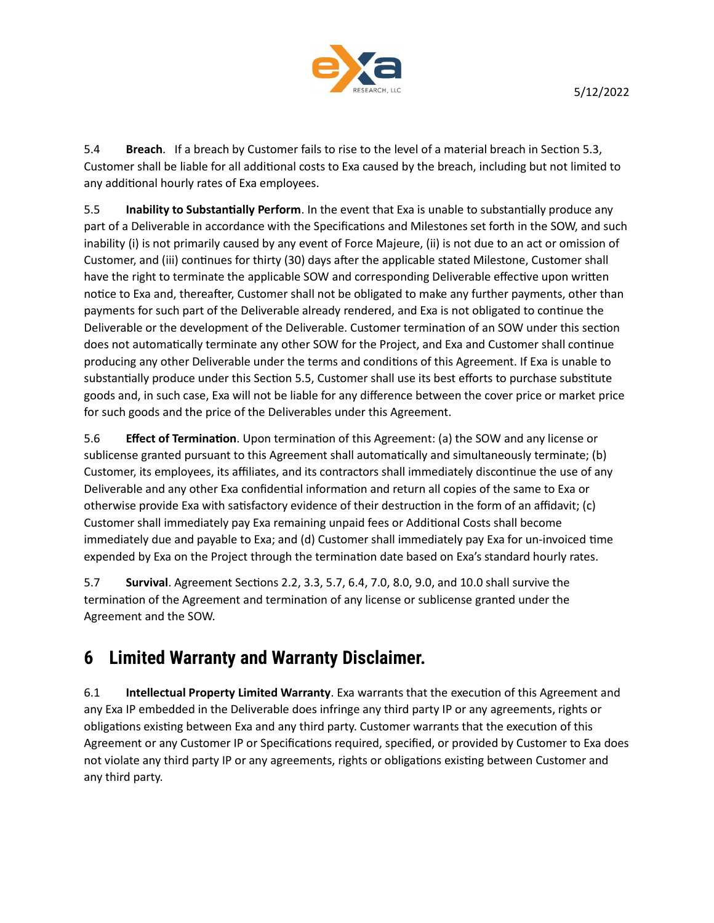

5.4 Breach. If a breach by Customer fails to rise to the level of a material breach in Section 5.3, Customer shall be liable for all additional costs to Exa caused by the breach, including but not limited to any additional hourly rates of Exa employees.

5.5 Inability to Substantially Perform. In the event that Exa is unable to substantially produce any part of a Deliverable in accordance with the Specifications and Milestones set forth in the SOW, and such inability (i) is not primarily caused by any event of Force Majeure, (ii) is not due to an act or omission of Customer, and (iii) continues for thirty (30) days after the applicable stated Milestone, Customer shall have the right to terminate the applicable SOW and corresponding Deliverable effective upon written notice to Exa and, thereafter, Customer shall not be obligated to make any further payments, other than payments for such part of the Deliverable already rendered, and Exa is not obligated to continue the Deliverable or the development of the Deliverable. Customer termination of an SOW under this section does not automatically terminate any other SOW for the Project, and Exa and Customer shall continue producing any other Deliverable under the terms and conditions of this Agreement. If Exa is unable to substantially produce under this Section 5.5, Customer shall use its best efforts to purchase substitute goods and, in such case, Exa will not be liable for any difference between the cover price or market price for such goods and the price of the Deliverables under this Agreement.

5.6 **Effect of Termination**. Upon termination of this Agreement: (a) the SOW and any license or sublicense granted pursuant to this Agreement shall automatically and simultaneously terminate; (b) Customer, its employees, its affiliates, and its contractors shall immediately discontinue the use of any Deliverable and any other Exa confidential information and return all copies of the same to Exa or otherwise provide Exa with satisfactory evidence of their destruction in the form of an affidavit; (c) Customer shall immediately pay Exa remaining unpaid fees or Additional Costs shall become immediately due and payable to Exa; and (d) Customer shall immediately pay Exa for un-invoiced time expended by Exa on the Project through the termination date based on Exa's standard hourly rates.

5.7 **Survival**. Agreement Sections 2.2, 3.3, 5.7, 6.4, 7.0, 8.0, 9.0, and 10.0 shall survive the termination of the Agreement and termination of any license or sublicense granted under the Agreement and the SOW.

#### 6 Limited Warranty and Warranty Disclaimer.

6.1 Intellectual Property Limited Warranty. Exa warrants that the execution of this Agreement and any Exa IP embedded in the Deliverable does infringe any third party IP or any agreements, rights or obligations existing between Exa and any third party. Customer warrants that the execution of this Agreement or any Customer IP or Specifications required, specified, or provided by Customer to Exa does not violate any third party IP or any agreements, rights or obligations existing between Customer and any third party.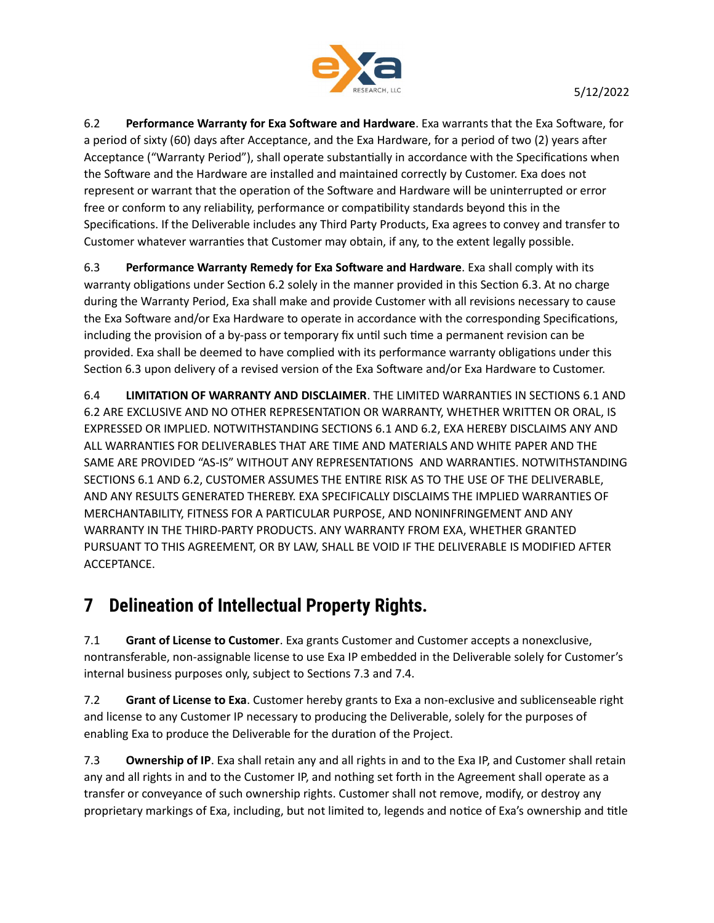

6.2 Performance Warranty for Exa Software and Hardware. Exa warrants that the Exa Software, for a period of sixty (60) days after Acceptance, and the Exa Hardware, for a period of two (2) years after Acceptance ("Warranty Period"), shall operate substantially in accordance with the Specifications when the Software and the Hardware are installed and maintained correctly by Customer. Exa does not represent or warrant that the operation of the Software and Hardware will be uninterrupted or error free or conform to any reliability, performance or compatibility standards beyond this in the Specifications. If the Deliverable includes any Third Party Products, Exa agrees to convey and transfer to Customer whatever warranties that Customer may obtain, if any, to the extent legally possible.

6.3 Performance Warranty Remedy for Exa Software and Hardware. Exa shall comply with its warranty obligations under Section 6.2 solely in the manner provided in this Section 6.3. At no charge during the Warranty Period, Exa shall make and provide Customer with all revisions necessary to cause the Exa Software and/or Exa Hardware to operate in accordance with the corresponding Specifications, including the provision of a by-pass or temporary fix until such time a permanent revision can be provided. Exa shall be deemed to have complied with its performance warranty obligations under this Section 6.3 upon delivery of a revised version of the Exa Software and/or Exa Hardware to Customer.

6.4 LIMITATION OF WARRANTY AND DISCLAIMER. THE LIMITED WARRANTIES IN SECTIONS 6.1 AND 6.2 ARE EXCLUSIVE AND NO OTHER REPRESENTATION OR WARRANTY, WHETHER WRITTEN OR ORAL, IS EXPRESSED OR IMPLIED. NOTWITHSTANDING SECTIONS 6.1 AND 6.2, EXA HEREBY DISCLAIMS ANY AND ALL WARRANTIES FOR DELIVERABLES THAT ARE TIME AND MATERIALS AND WHITE PAPER AND THE SAME ARE PROVIDED "AS-IS" WITHOUT ANY REPRESENTATIONS AND WARRANTIES. NOTWITHSTANDING SECTIONS 6.1 AND 6.2, CUSTOMER ASSUMES THE ENTIRE RISK AS TO THE USE OF THE DELIVERABLE, AND ANY RESULTS GENERATED THEREBY. EXA SPECIFICALLY DISCLAIMS THE IMPLIED WARRANTIES OF MERCHANTABILITY, FITNESS FOR A PARTICULAR PURPOSE, AND NONINFRINGEMENT AND ANY WARRANTY IN THE THIRD-PARTY PRODUCTS. ANY WARRANTY FROM EXA, WHETHER GRANTED PURSUANT TO THIS AGREEMENT, OR BY LAW, SHALL BE VOID IF THE DELIVERABLE IS MODIFIED AFTER ACCEPTANCE.

#### 7 Delineation of Intellectual Property Rights.

7.1 Grant of License to Customer. Exa grants Customer and Customer accepts a nonexclusive, nontransferable, non-assignable license to use Exa IP embedded in the Deliverable solely for Customer's internal business purposes only, subject to Sections 7.3 and 7.4.

7.2 Grant of License to Exa. Customer hereby grants to Exa a non-exclusive and sublicenseable right and license to any Customer IP necessary to producing the Deliverable, solely for the purposes of enabling Exa to produce the Deliverable for the duration of the Project.

7.3 **Ownership of IP**. Exa shall retain any and all rights in and to the Exa IP, and Customer shall retain any and all rights in and to the Customer IP, and nothing set forth in the Agreement shall operate as a transfer or conveyance of such ownership rights. Customer shall not remove, modify, or destroy any proprietary markings of Exa, including, but not limited to, legends and notice of Exa's ownership and title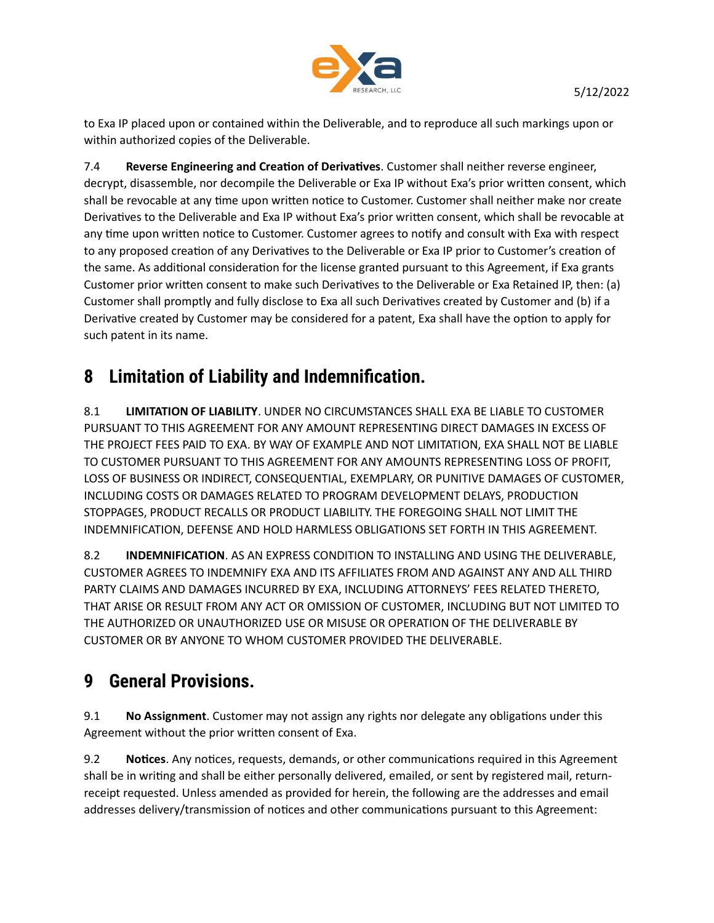

to Exa IP placed upon or contained within the Deliverable, and to reproduce all such markings upon or within authorized copies of the Deliverable.

7.4 Reverse Engineering and Creation of Derivatives. Customer shall neither reverse engineer, decrypt, disassemble, nor decompile the Deliverable or Exa IP without Exa's prior written consent, which shall be revocable at any time upon written notice to Customer. Customer shall neither make nor create Derivatives to the Deliverable and Exa IP without Exa's prior written consent, which shall be revocable at any time upon written notice to Customer. Customer agrees to notify and consult with Exa with respect to any proposed creation of any Derivatives to the Deliverable or Exa IP prior to Customer's creation of the same. As additional consideration for the license granted pursuant to this Agreement, if Exa grants Customer prior written consent to make such Derivatives to the Deliverable or Exa Retained IP, then: (a) Customer shall promptly and fully disclose to Exa all such Derivatives created by Customer and (b) if a Derivative created by Customer may be considered for a patent, Exa shall have the option to apply for such patent in its name.

### 8 Limitation of Liability and Indemnification.

8.1 **LIMITATION OF LIABILITY**. UNDER NO CIRCUMSTANCES SHALL EXA BE LIABLE TO CUSTOMER PURSUANT TO THIS AGREEMENT FOR ANY AMOUNT REPRESENTING DIRECT DAMAGES IN EXCESS OF THE PROJECT FEES PAID TO EXA. BY WAY OF EXAMPLE AND NOT LIMITATION, EXA SHALL NOT BE LIABLE TO CUSTOMER PURSUANT TO THIS AGREEMENT FOR ANY AMOUNTS REPRESENTING LOSS OF PROFIT, LOSS OF BUSINESS OR INDIRECT, CONSEQUENTIAL, EXEMPLARY, OR PUNITIVE DAMAGES OF CUSTOMER, INCLUDING COSTS OR DAMAGES RELATED TO PROGRAM DEVELOPMENT DELAYS, PRODUCTION STOPPAGES, PRODUCT RECALLS OR PRODUCT LIABILITY. THE FOREGOING SHALL NOT LIMIT THE INDEMNIFICATION, DEFENSE AND HOLD HARMLESS OBLIGATIONS SET FORTH IN THIS AGREEMENT.

8.2 INDEMNIFICATION. AS AN EXPRESS CONDITION TO INSTALLING AND USING THE DELIVERABLE, CUSTOMER AGREES TO INDEMNIFY EXA AND ITS AFFILIATES FROM AND AGAINST ANY AND ALL THIRD PARTY CLAIMS AND DAMAGES INCURRED BY EXA, INCLUDING ATTORNEYS' FEES RELATED THERETO, THAT ARISE OR RESULT FROM ANY ACT OR OMISSION OF CUSTOMER, INCLUDING BUT NOT LIMITED TO THE AUTHORIZED OR UNAUTHORIZED USE OR MISUSE OR OPERATION OF THE DELIVERABLE BY CUSTOMER OR BY ANYONE TO WHOM CUSTOMER PROVIDED THE DELIVERABLE.

# 9 General Provisions.

9.1 No Assignment. Customer may not assign any rights nor delegate any obligations under this Agreement without the prior written consent of Exa.

9.2 Notices. Any notices, requests, demands, or other communications required in this Agreement shall be in writing and shall be either personally delivered, emailed, or sent by registered mail, returnreceipt requested. Unless amended as provided for herein, the following are the addresses and email addresses delivery/transmission of notices and other communications pursuant to this Agreement: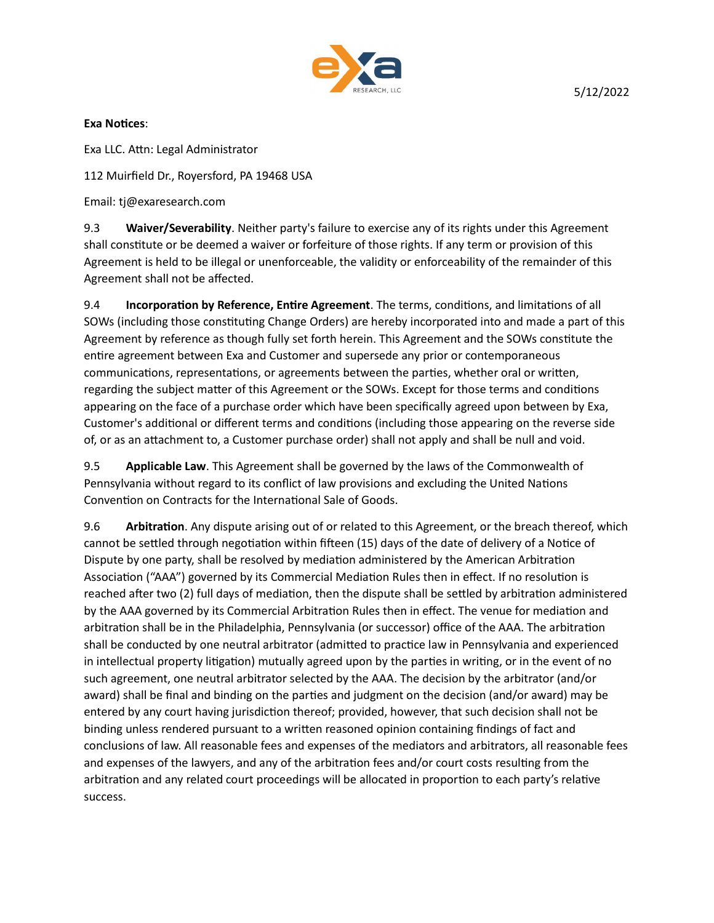

#### Exa Notices:

Exa LLC. AƩn: Legal Administrator

112 Muirfield Dr., Royersford, PA 19468 USA

Email: tj@exaresearch.com

9.3 Waiver/Severability. Neither party's failure to exercise any of its rights under this Agreement shall constitute or be deemed a waiver or forfeiture of those rights. If any term or provision of this Agreement is held to be illegal or unenforceable, the validity or enforceability of the remainder of this Agreement shall not be affected.

9.4 Incorporation by Reference, Entire Agreement. The terms, conditions, and limitations of all SOWs (including those constituting Change Orders) are hereby incorporated into and made a part of this Agreement by reference as though fully set forth herein. This Agreement and the SOWs constitute the entire agreement between Exa and Customer and supersede any prior or contemporaneous communications, representations, or agreements between the parties, whether oral or written, regarding the subject matter of this Agreement or the SOWs. Except for those terms and conditions appearing on the face of a purchase order which have been specifically agreed upon between by Exa, Customer's additional or different terms and conditions (including those appearing on the reverse side of, or as an attachment to, a Customer purchase order) shall not apply and shall be null and void.

9.5 Applicable Law. This Agreement shall be governed by the laws of the Commonwealth of Pennsylvania without regard to its conflict of law provisions and excluding the United Nations Convention on Contracts for the International Sale of Goods.

9.6 Arbitration. Any dispute arising out of or related to this Agreement, or the breach thereof, which cannot be settled through negotiation within fifteen (15) days of the date of delivery of a Notice of Dispute by one party, shall be resolved by mediation administered by the American Arbitration Association ("AAA") governed by its Commercial Mediation Rules then in effect. If no resolution is reached after two (2) full days of mediation, then the dispute shall be settled by arbitration administered by the AAA governed by its Commercial Arbitration Rules then in effect. The venue for mediation and arbitration shall be in the Philadelphia, Pennsylvania (or successor) office of the AAA. The arbitration shall be conducted by one neutral arbitrator (admitted to practice law in Pennsylvania and experienced in intellectual property litigation) mutually agreed upon by the parties in writing, or in the event of no such agreement, one neutral arbitrator selected by the AAA. The decision by the arbitrator (and/or award) shall be final and binding on the parties and judgment on the decision (and/or award) may be entered by any court having jurisdiction thereof; provided, however, that such decision shall not be binding unless rendered pursuant to a written reasoned opinion containing findings of fact and conclusions of law. All reasonable fees and expenses of the mediators and arbitrators, all reasonable fees and expenses of the lawyers, and any of the arbitration fees and/or court costs resulting from the arbitration and any related court proceedings will be allocated in proportion to each party's relative success.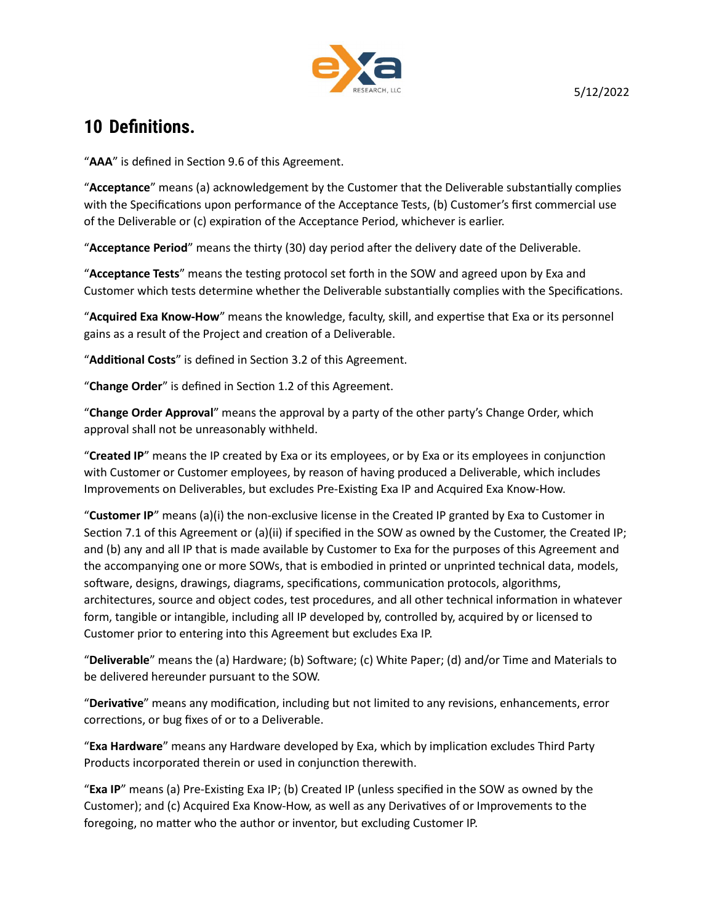

#### 10 Definitions.

"AAA" is defined in Section 9.6 of this Agreement.

"Acceptance" means (a) acknowledgement by the Customer that the Deliverable substantially complies with the Specifications upon performance of the Acceptance Tests, (b) Customer's first commercial use of the Deliverable or (c) expiration of the Acceptance Period, whichever is earlier.

"Acceptance Period" means the thirty (30) day period after the delivery date of the Deliverable.

"Acceptance Tests" means the testing protocol set forth in the SOW and agreed upon by Exa and Customer which tests determine whether the Deliverable substantially complies with the Specifications.

"Acquired Exa Know-How" means the knowledge, faculty, skill, and expertise that Exa or its personnel gains as a result of the Project and creation of a Deliverable.

"Additional Costs" is defined in Section 3.2 of this Agreement.

"Change Order" is defined in Section 1.2 of this Agreement.

"Change Order Approval" means the approval by a party of the other party's Change Order, which approval shall not be unreasonably withheld.

"Created IP" means the IP created by Exa or its employees, or by Exa or its employees in conjunction with Customer or Customer employees, by reason of having produced a Deliverable, which includes Improvements on Deliverables, but excludes Pre-Existing Exa IP and Acquired Exa Know-How.

"Customer IP" means (a)(i) the non-exclusive license in the Created IP granted by Exa to Customer in Section 7.1 of this Agreement or (a)(ii) if specified in the SOW as owned by the Customer, the Created IP; and (b) any and all IP that is made available by Customer to Exa for the purposes of this Agreement and the accompanying one or more SOWs, that is embodied in printed or unprinted technical data, models, software, designs, drawings, diagrams, specifications, communication protocols, algorithms, architectures, source and object codes, test procedures, and all other technical information in whatever form, tangible or intangible, including all IP developed by, controlled by, acquired by or licensed to Customer prior to entering into this Agreement but excludes Exa IP.

"Deliverable" means the (a) Hardware; (b) Software; (c) White Paper; (d) and/or Time and Materials to be delivered hereunder pursuant to the SOW.

"Derivative" means any modification, including but not limited to any revisions, enhancements, error corrections, or bug fixes of or to a Deliverable.

"Exa Hardware" means any Hardware developed by Exa, which by implication excludes Third Party Products incorporated therein or used in conjunction therewith.

"Exa IP" means (a) Pre-Existing Exa IP; (b) Created IP (unless specified in the SOW as owned by the Customer); and (c) Acquired Exa Know-How, as well as any Derivatives of or Improvements to the foregoing, no matter who the author or inventor, but excluding Customer IP.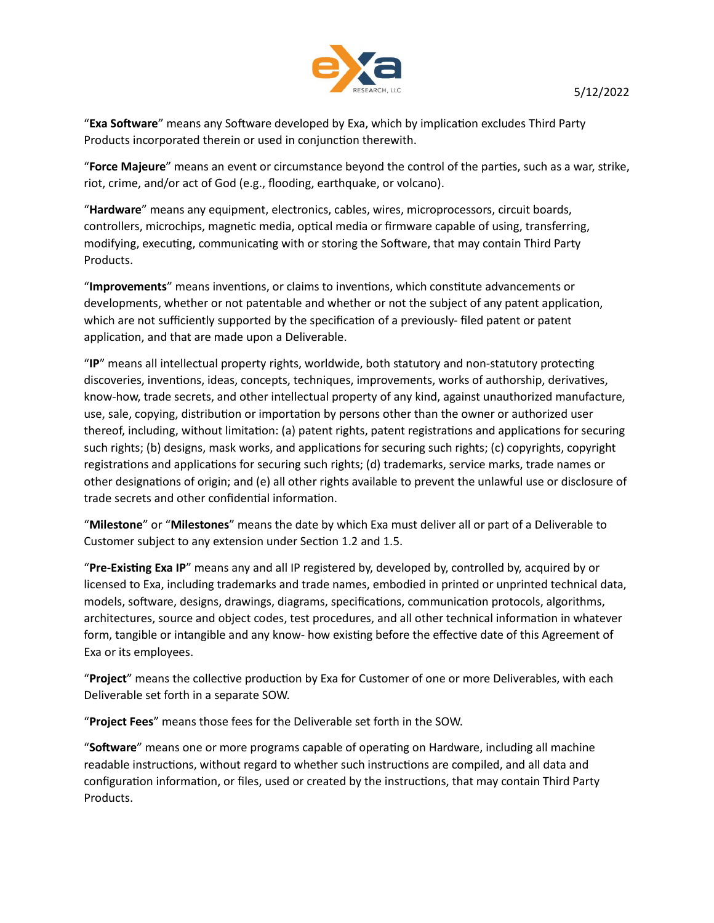

"Exa Software" means any Software developed by Exa, which by implication excludes Third Party Products incorporated therein or used in conjunction therewith.

"Force Majeure" means an event or circumstance beyond the control of the parties, such as a war, strike, riot, crime, and/or act of God (e.g., flooding, earthquake, or volcano).

"Hardware" means any equipment, electronics, cables, wires, microprocessors, circuit boards, controllers, microchips, magnetic media, optical media or firmware capable of using, transferring, modifying, executing, communicating with or storing the Software, that may contain Third Party Products.

"Improvements" means inventions, or claims to inventions, which constitute advancements or developments, whether or not patentable and whether or not the subject of any patent application, which are not sufficiently supported by the specification of a previously- filed patent or patent application, and that are made upon a Deliverable.

"IP" means all intellectual property rights, worldwide, both statutory and non-statutory protecting discoveries, inventions, ideas, concepts, techniques, improvements, works of authorship, derivatives, know-how, trade secrets, and other intellectual property of any kind, against unauthorized manufacture, use, sale, copying, distribution or importation by persons other than the owner or authorized user thereof, including, without limitation: (a) patent rights, patent registrations and applications for securing such rights; (b) designs, mask works, and applications for securing such rights; (c) copyrights, copyright registrations and applications for securing such rights; (d) trademarks, service marks, trade names or other designaƟons of origin; and (e) all other rights available to prevent the unlawful use or disclosure of trade secrets and other confidential information.

"Milestone" or "Milestones" means the date by which Exa must deliver all or part of a Deliverable to Customer subject to any extension under Section 1.2 and 1.5.

"Pre-Existing Exa IP" means any and all IP registered by, developed by, controlled by, acquired by or licensed to Exa, including trademarks and trade names, embodied in printed or unprinted technical data, models, software, designs, drawings, diagrams, specifications, communication protocols, algorithms, architectures, source and object codes, test procedures, and all other technical information in whatever form, tangible or intangible and any know- how existing before the effective date of this Agreement of Exa or its employees.

"Project" means the collective production by Exa for Customer of one or more Deliverables, with each Deliverable set forth in a separate SOW.

"Project Fees" means those fees for the Deliverable set forth in the SOW.

"Software" means one or more programs capable of operating on Hardware, including all machine readable instructions, without regard to whether such instructions are compiled, and all data and configuration information, or files, used or created by the instructions, that may contain Third Party Products.